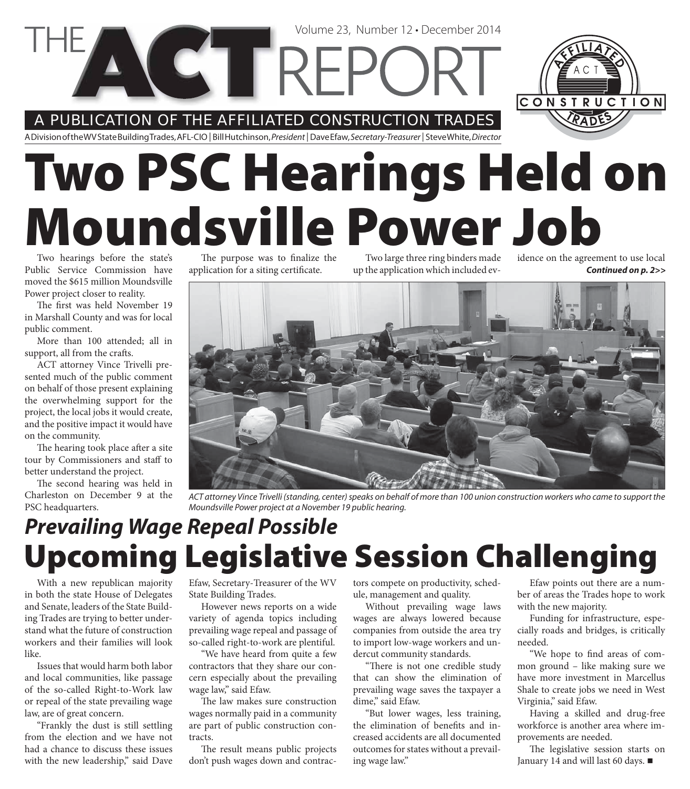**VETTREPC** 

#### A PUBLICATION OF THE AFFILIATED CONSTRUCTION TRADES

A Division of the WV State Building Trades, AFL-CIO | Bill Hutchinson, President | Dave Efaw, Secretary-Treasurer | Steve White, Director

# **Two PSC Hearings Held on Moundsville Power Job**

Two hearings before the state's Public Service Commission have moved the \$615 million Moundsville Power project closer to reality.

The first was held November 19 in Marshall County and was for local public comment.

More than 100 attended; all in support, all from the crafts.

ACT attorney Vince Trivelli presented much of the public comment on behalf of those present explaining the overwhelming support for the project, the local jobs it would create, and the positive impact it would have on the community.

The hearing took place after a site tour by Commissioners and staff to better understand the project.

The second hearing was held in Charleston on December 9 at the PSC headquarters.

With a new republican majority in both the state House of Delegates and Senate, leaders of the State Building Trades are trying to better understand what the future of construction workers and their families will look

Issues that would harm both labor and local communities, like passage of the so-called Right-to-Work law or repeal of the state prevailing wage

"Frankly the dust is still settling from the election and we have not had a chance to discuss these issues with the new leadership," said Dave

law, are of great concern.

like.

The purpose was to finalize the application for a siting certificate.

Two large three ring binders made up the application which included ev-

*Continued on p. 2>>* idence on the agreement to use local

tors compete on productivity, sched-

Without prevailing wage laws wages are always lowered because companies from outside the area try to import low-wage workers and undercut community standards.

"There is not one credible study that can show the elimination of prevailing wage saves the taxpayer a dime," said Efaw.

the elimination of benefits and increased accidents are all documented outcomes for states without a prevailing wage law."

Efaw points out there are a number of areas the Trades hope to work with the new majority.

Funding for infrastructure, especially roads and bridges, is critically needed.

"We hope to find areas of common ground – like making sure we have more investment in Marcellus Shale to create jobs we need in West Virginia," said Efaw.

Having a skilled and drug-free workforce is another area where improvements are needed.

The legislative session starts on January 14 and will last 60 days. ■

Efaw, Secretary-Treasurer of the WV State Building Trades.

However news reports on a wide variety of agenda topics including prevailing wage repeal and passage of so-called right-to-work are plentiful.

"We have heard from quite a few contractors that they share our concern especially about the prevailing wage law," said Efaw.

The law makes sure construction wages normally paid in a community are part of public construction contracts.

The result means public projects don't push wages down and contrac-

ule, management and quality.

"But lower wages, less training,

**Upcoming Legislative Session Challenging** ACT attorney Vince Trivelli (standing, center) speaks on behalf of more than 100 union construction workers who came to support the Moundsville Power project at a November 19 public hearing. *Prevailing Wage Repeal Possible*



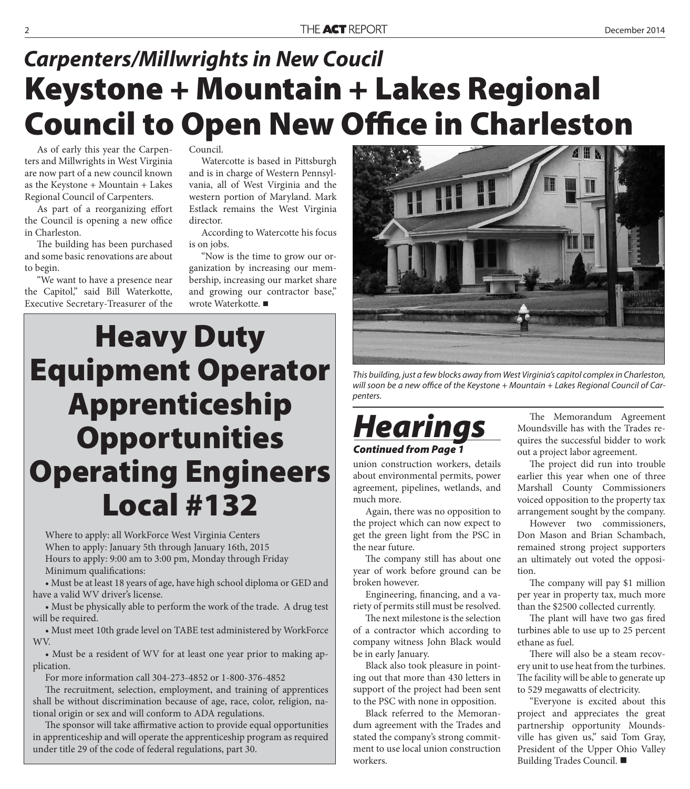#### **Keystone + Mountain + Lakes Regional Council to Open New Office in Charleston** *Carpenters/Millwrights in New Coucil*

As of early this year the Carpenters and Millwrights in West Virginia are now part of a new council known as the Keystone + Mountain + Lakes Regional Council of Carpenters.

As part of a reorganizing effort the Council is opening a new office in Charleston.

The building has been purchased and some basic renovations are about to begin.

"We want to have a presence near the Capitol," said Bill Waterkotte, Executive Secretary-Treasurer of the

Council.

Watercotte is based in Pittsburgh and is in charge of Western Pennsylvania, all of West Virginia and the western portion of Maryland. Mark Estlack remains the West Virginia director.

According to Watercotte his focus is on jobs.

"Now is the time to grow our organization by increasing our membership, increasing our market share and growing our contractor base," wrote Waterkotte.

## **Heavy Duty Equipment Operator Apprenticeship Opportunities Operating Engineers Local #132**

Where to apply: all WorkForce West Virginia Centers When to apply: January 5th through January 16th, 2015 Hours to apply: 9:00 am to 3:00 pm, Monday through Friday Minimum qualifications:

• Must be at least 18 years of age, have high school diploma or GED and have a valid WV driver's license.

• Must be physically able to perform the work of the trade. A drug test will be required.

• Must meet 10th grade level on TABE test administered by WorkForce WV.

• Must be a resident of WV for at least one year prior to making application.

For more information call 304-273-4852 or 1-800-376-4852

The recruitment, selection, employment, and training of apprentices shall be without discrimination because of age, race, color, religion, national origin or sex and will conform to ADA regulations.

The sponsor will take affirmative action to provide equal opportunities in apprenticeship and will operate the apprenticeship program as required under title 29 of the code of federal regulations, part 30.



This building, just a few blocks away from West Virginia's capitol complex in Charleston, will soon be a new office of the Keystone  $+$  Mountain  $+$  Lakes Regional Council of Carpenters.



union construction workers, details about environmental permits, power agreement, pipelines, wetlands, and much more.

Again, there was no opposition to the project which can now expect to get the green light from the PSC in the near future.

The company still has about one year of work before ground can be broken however.

Engineering, financing, and a variety of permits still must be resolved.

The next milestone is the selection of a contractor which according to company witness John Black would be in early January.

Black also took pleasure in pointing out that more than 430 letters in support of the project had been sent to the PSC with none in opposition.

Black referred to the Memorandum agreement with the Trades and stated the company's strong commitment to use local union construction workers.

The Memorandum Agreement Moundsville has with the Trades requires the successful bidder to work out a project labor agreement.

The project did run into trouble earlier this year when one of three Marshall County Commissioners voiced opposition to the property tax arrangement sought by the company.

However two commissioners, Don Mason and Brian Schambach, remained strong project supporters an ultimately out voted the opposition.

The company will pay \$1 million per year in property tax, much more than the \$2500 collected currently.

The plant will have two gas fired turbines able to use up to 25 percent ethane as fuel.

There will also be a steam recovery unit to use heat from the turbines. The facility will be able to generate up to 529 megawatts of electricity.

"Everyone is excited about this project and appreciates the great partnership opportunity Moundsville has given us," said Tom Gray, President of the Upper Ohio Valley Building Trades Council.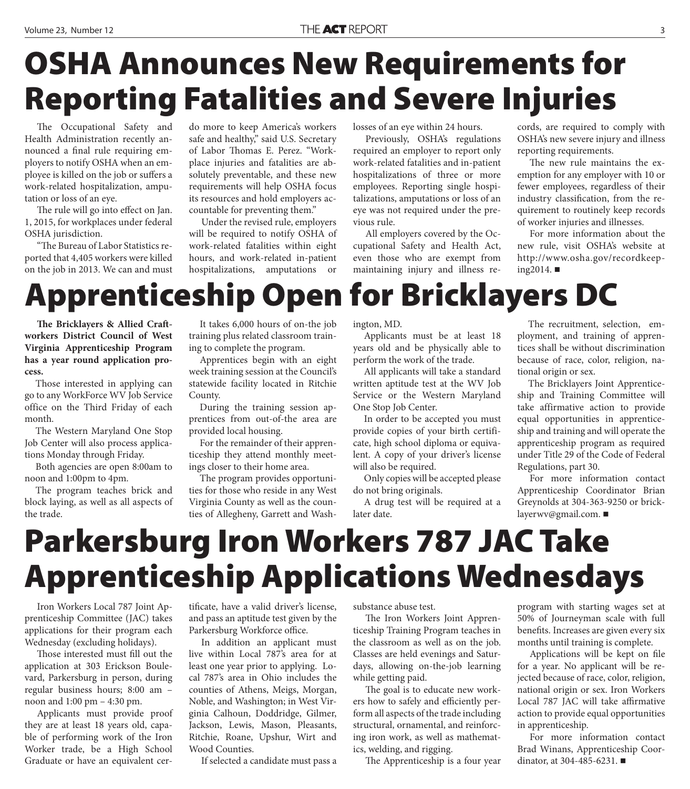# **OSHA Announces New Requirements for Reporting Fatalities and Severe Injuries**

The Occupational Safety and Health Administration recently announced a final rule requiring employers to notify OSHA when an employee is killed on the job or suffers a work-related hospitalization, amputation or loss of an eye.

The rule will go into effect on Jan. 1, 2015, for workplaces under federal OSHA jurisdiction.

"The Bureau of Labor Statistics reported that 4,405 workers were killed on the job in 2013. We can and must do more to keep America's workers safe and healthy," said U.S. Secretary of Labor Thomas E. Perez. "Workplace injuries and fatalities are absolutely preventable, and these new requirements will help OSHA focus its resources and hold employers accountable for preventing them."

Under the revised rule, employers will be required to notify OSHA of work-related fatalities within eight hours, and work-related in-patient hospitalizations, amputations or

losses of an eye within 24 hours.

Previously, OSHA's regulations required an employer to report only work-related fatalities and in-patient hospitalizations of three or more employees. Reporting single hospitalizations, amputations or loss of an eye was not required under the previous rule.

All employers covered by the Occupational Safety and Health Act, even those who are exempt from maintaining injury and illness records, are required to comply with OSHA's new severe injury and illness reporting requirements.

The new rule maintains the exemption for any employer with 10 or fewer employees, regardless of their industry classification, from the requirement to routinely keep records of worker injuries and illnesses.

For more information about the new rule, visit OSHA's website at http://www.osha.gov/recordkeeping2014. ■

#### **Apprenticeship Open for Bricklayers DC**

**The Bricklayers & Allied Craftworkers District Council of West Virginia Apprenticeship Program has a year round application process.**

Those interested in applying can go to any WorkForce WV Job Service office on the Third Friday of each month.

The Western Maryland One Stop Job Center will also process applications Monday through Friday.

Both agencies are open 8:00am to noon and 1:00pm to 4pm.

The program teaches brick and block laying, as well as all aspects of the trade.

It takes 6,000 hours of on-the job training plus related classroom training to complete the program.

Apprentices begin with an eight week training session at the Council's statewide facility located in Ritchie County.

During the training session apprentices from out-of-the area are provided local housing.

For the remainder of their apprenticeship they attend monthly meetings closer to their home area.

The program provides opportunities for those who reside in any West Virginia County as well as the counties of Allegheny, Garrett and Washington, MD.

Applicants must be at least 18 years old and be physically able to perform the work of the trade.

All applicants will take a standard written aptitude test at the WV Job Service or the Western Maryland One Stop Job Center.

In order to be accepted you must provide copies of your birth certificate, high school diploma or equivalent. A copy of your driver's license will also be required.

Only copies will be accepted please do not bring originals.

A drug test will be required at a later date.

The recruitment, selection, employment, and training of apprentices shall be without discrimination because of race, color, religion, national origin or sex.

The Bricklayers Joint Apprenticeship and Training Committee will take affirmative action to provide equal opportunities in apprenticeship and training and will operate the apprenticeship program as required under Title 29 of the Code of Federal Regulations, part 30.

For more information contact Apprenticeship Coordinator Brian Greynolds at 304-363-9250 or bricklayerwv@gmail.com.

## **Parkersburg Iron Workers 787 JAC Take Apprenticeship Applications Wednesdays**

Iron Workers Local 787 Joint Apprenticeship Committee (JAC) takes applications for their program each Wednesday (excluding holidays).

Those interested must fill out the application at 303 Erickson Boulevard, Parkersburg in person, during regular business hours; 8:00 am – noon and 1:00 pm – 4:30 pm.

Applicants must provide proof they are at least 18 years old, capable of performing work of the Iron Worker trade, be a High School Graduate or have an equivalent certificate, have a valid driver's license, and pass an aptitude test given by the Parkersburg Workforce office.

In addition an applicant must live within Local 787's area for at least one year prior to applying. Local 787's area in Ohio includes the counties of Athens, Meigs, Morgan, Noble, and Washington; in West Virginia Calhoun, Doddridge, Gilmer, Jackson, Lewis, Mason, Pleasants, Ritchie, Roane, Upshur, Wirt and Wood Counties.

If selected a candidate must pass a

substance abuse test.

The Iron Workers Joint Apprenticeship Training Program teaches in the classroom as well as on the job. Classes are held evenings and Saturdays, allowing on-the-job learning while getting paid.

The goal is to educate new workers how to safely and efficiently perform all aspects of the trade including structural, ornamental, and reinforcing iron work, as well as mathematics, welding, and rigging.

The Apprenticeship is a four year

program with starting wages set at 50% of Journeyman scale with full benefits. Increases are given every six months until training is complete.

Applications will be kept on file for a year. No applicant will be rejected because of race, color, religion, national origin or sex. Iron Workers Local 787 JAC will take affirmative action to provide equal opportunities in apprenticeship.

For more information contact Brad Winans, Apprenticeship Coordinator, at 304-485-6231.